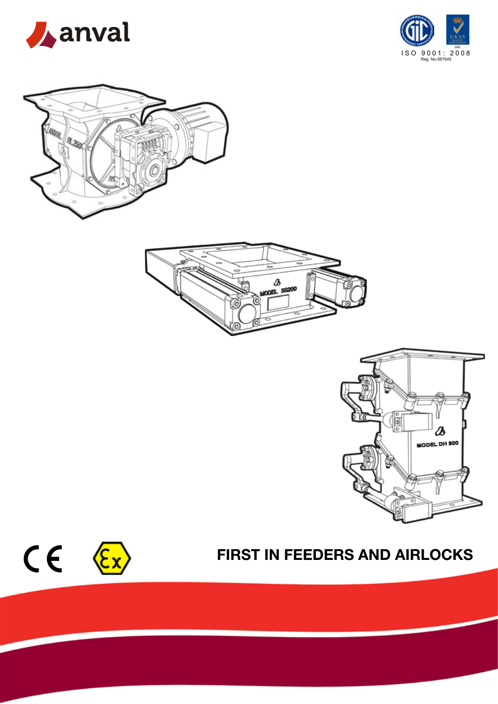











# FIRST IN FEEDERS AND AIRLOCKS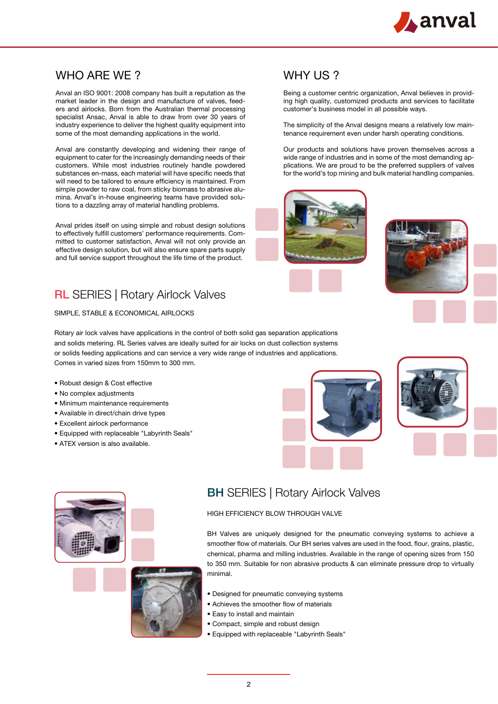

# WHO ARE WE ?

Anval an ISO 9001: 2008 company has built a reputation as the market leader in the design and manufacture of valves, feeders and airlocks. Born from the Australian thermal processing specialist Ansac, Anval is able to draw from over 30 years of industry experience to deliver the highest quality equipment into some of the most demanding applications in the world.

Anval are constantly developing and widening their range of equipment to cater for the increasingly demanding needs of their customers. While most industries routinely handle powdered substances en-mass, each material will have specific needs that will need to be tailored to ensure efficiency is maintained. From simple powder to raw coal, from sticky biomass to abrasive alumina. Anval's in-house engineering teams have provided solutions to a dazzling array of material handling problems.

Anval prides itself on using simple and robust design solutions to effectively fulfill customers' performance requirements. Committed to customer satisfaction, Anval will not only provide an effective design solution, but will also ensure spare parts supply and full service support throughout the life time of the product.

### **RL SERIES | Rotary Airlock Valves**

SIMPLE, STABLE & ECONOMICAL AIRLOCKS

Rotary air lock valves have applications in the control of both solid gas separation applications and solids metering. RL Series valves are ideally suited for air locks on dust collection systems or solids feeding applications and can service a very wide range of industries and applications. Comes in varied sizes from 150mm to 300 mm.

- Robust design & Cost effective
- No complex adjustments
- Minimum maintenance requirements
- Available in direct/chain drive types
- Excellent airlock performance
- Equipped with replaceable "Labyrinth Seals"
- ATEX version is also available.

### WHY US?

Being a customer centric organization, Anval believes in providing high quality, customized products and services to facilitate customer's business model in all possible ways.

The simplicity of the Anval designs means a relatively low maintenance requirement even under harsh operating conditions.

Our products and solutions have proven themselves across a wide range of industries and in some of the most demanding applications. We are proud to be the preferred suppliers of valves for the world's top mining and bulk material handling companies.

















# **BH SERIES | Rotary Airlock Valves**

#### HIGH EFFICIENCY BLOW THROUGH VALVE

BH Valves are uniquely designed for the pneumatic conveying systems to achieve a smoother flow of materials. Our BH series valves are used in the food, flour, grains, plastic, chemical, pharma and milling industries. Available in the range of opening sizes from 150 to 350 mm. Suitable for non abrasive products & can eliminate pressure drop to virtually minimal.

- Designed for pneumatic conveying systems
- Achieves the smoother flow of materials
- Easy to install and maintain
- Compact, simple and robust design
- Equipped with replaceable "Labyrinth Seals"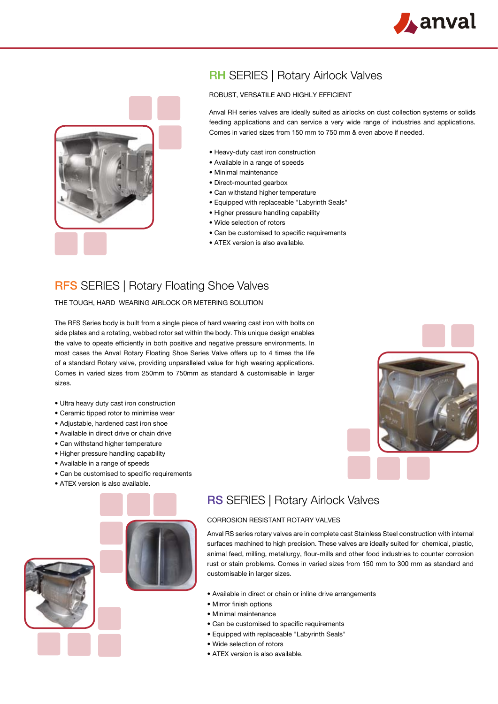



# **RH SERIES | Rotary Airlock Valves**

#### ROBUST, VERSATILE AND HIGHLY EFFICIENT

Anval RH series valves are ideally suited as airlocks on dust collection systems or solids feeding applications and can service a very wide range of industries and applications. Comes in varied sizes from 150 mm to 750 mm & even above if needed.

- Heavy-duty cast iron construction
- Available in a range of speeds
- Minimal maintenance
- Direct-mounted gearbox
- Can withstand higher temperature
- Equipped with replaceable "Labyrinth Seals"
- Higher pressure handling capability
- Wide selection of rotors
- Can be customised to specific requirements
- ATEX version is also available.

### **RFS SERIES | Rotary Floating Shoe Valves**

THE TOUGH, HARD WEARING AIRLOCK OR METERING SOLUTION

The RFS Series body is built from a single piece of hard wearing cast iron with bolts on side plates and a rotating, webbed rotor set within the body. This unique design enables the valve to opeate efficiently in both positive and negative pressure environments. In most cases the Anval Rotary Floating Shoe Series Valve offers up to 4 times the life of a standard Rotary valve, providing unparalleled value for high wearing applications. Comes in varied sizes from 250mm to 750mm as standard & customisable in larger sizes.

- Ultra heavy duty cast iron construction
- Ceramic tipped rotor to minimise wear
- Adjustable, hardened cast iron shoe
- Available in direct drive or chain drive
- Can withstand higher temperature
- Higher pressure handling capability
- Available in a range of speeds
- Can be customised to specific requirements
- ATEX version is also available.



### **RS SERIES | Rotary Airlock Valves**

#### CORROSION RESISTANT ROTARY VALVES

Anval RS series rotary valves are in complete cast Stainless Steel construction with internal surfaces machined to high precision. These valves are ideally suited for chemical, plastic, animal feed, milling, metallurgy, flour-mills and other food industries to counter corrosion rust or stain problems. Comes in varied sizes from 150 mm to 300 mm as standard and customisable in larger sizes.

- Available in direct or chain or inline drive arrangements
- Mirror finish options
- Minimal maintenance
- Can be customised to specific requirements
- Equipped with replaceable "Labyrinth Seals"
- Wide selection of rotors
- ATEX version is also available.